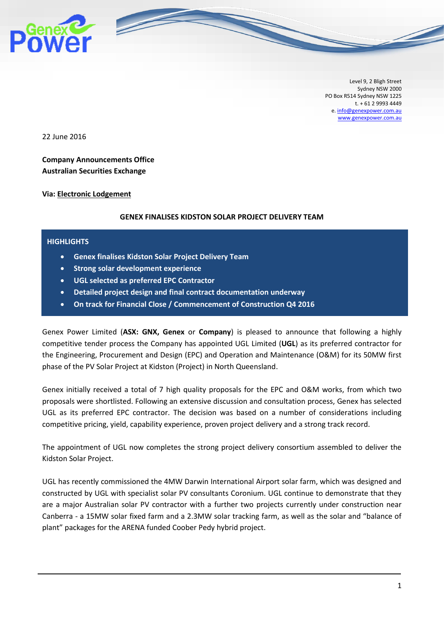

Level 9, 2 Bligh Street Sydney NSW 2000 PO Box R514 Sydney NSW 1225 t. + 61 2 9993 4449 e[. info@genexpower.com.au](mailto:info@genexpower.com.au) [www.genexpower.com.au](http://www.genexpower.com.au/)

22 June 2016

**Company Announcements Office Australian Securities Exchange** 

**Via: Electronic Lodgement**

### **GENEX FINALISES KIDSTON SOLAR PROJECT DELIVERY TEAM**

#### **HIGHLIGHTS**

- **Genex finalises Kidston Solar Project Delivery Team**
- **Strong solar development experience**
- **UGL selected as preferred EPC Contractor**
- **Detailed project design and final contract documentation underway**
- **On track for Financial Close / Commencement of Construction Q4 2016**

Genex Power Limited (**ASX: GNX, Genex** or **Company**) is pleased to announce that following a highly competitive tender process the Company has appointed UGL Limited (**UGL**) as its preferred contractor for the Engineering, Procurement and Design (EPC) and Operation and Maintenance (O&M) for its 50MW first phase of the PV Solar Project at Kidston (Project) in North Queensland.

Genex initially received a total of 7 high quality proposals for the EPC and O&M works, from which two proposals were shortlisted. Following an extensive discussion and consultation process, Genex has selected UGL as its preferred EPC contractor. The decision was based on a number of considerations including competitive pricing, yield, capability experience, proven project delivery and a strong track record.

The appointment of UGL now completes the strong project delivery consortium assembled to deliver the Kidston Solar Project.

UGL has recently commissioned the 4MW Darwin International Airport solar farm, which was designed and constructed by UGL with specialist solar PV consultants Coronium. UGL continue to demonstrate that they are a major Australian solar PV contractor with a further two projects currently under construction near Canberra - a 15MW solar fixed farm and a 2.3MW solar tracking farm, as well as the solar and "balance of plant" packages for the ARENA funded Coober Pedy hybrid project.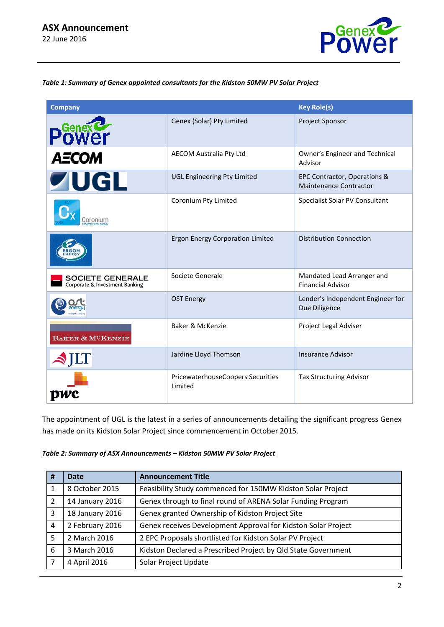

### *Table 1: Summary of Genex appointed consultants for the Kidston 50MW PV Solar Project*

| <b>Company</b>                                            |                                              | <b>Key Role(s)</b>                                            |
|-----------------------------------------------------------|----------------------------------------------|---------------------------------------------------------------|
| <b>Power</b>                                              | Genex (Solar) Pty Limited                    | Project Sponsor                                               |
| <b>AECOM</b>                                              | AECOM Australia Pty Ltd                      | Owner's Engineer and Technical<br>Advisor                     |
| <b>ZUGL</b>                                               | <b>UGL Engineering Pty Limited</b>           | EPC Contractor, Operations &<br><b>Maintenance Contractor</b> |
| Coronium                                                  | Coronium Pty Limited                         | Specialist Solar PV Consultant                                |
|                                                           | <b>Ergon Energy Corporation Limited</b>      | <b>Distribution Connection</b>                                |
| <b>SOCIETE GENERALE</b><br>Corporate & Investment Banking | Societe Generale                             | Mandated Lead Arranger and<br><b>Financial Advisor</b>        |
|                                                           | <b>OST Energy</b>                            | Lender's Independent Engineer for<br>Due Diligence            |
| BAKER & MCKENZIE                                          | Baker & McKenzie                             | Project Legal Adviser                                         |
| $\blacktriangle$ JLT                                      | Jardine Lloyd Thomson                        | <b>Insurance Advisor</b>                                      |
|                                                           | PricewaterhouseCoopers Securities<br>Limited | <b>Tax Structuring Advisor</b>                                |

The appointment of UGL is the latest in a series of announcements detailing the significant progress Genex has made on its Kidston Solar Project since commencement in October 2015.

| Table 2: Summary of ASX Announcements - Kidston 50MW PV Solar Project |
|-----------------------------------------------------------------------|
|-----------------------------------------------------------------------|

| # | <b>Date</b>     | <b>Announcement Title</b>                                     |
|---|-----------------|---------------------------------------------------------------|
|   | 8 October 2015  | Feasibility Study commenced for 150MW Kidston Solar Project   |
| 2 | 14 January 2016 | Genex through to final round of ARENA Solar Funding Program   |
| 3 | 18 January 2016 | Genex granted Ownership of Kidston Project Site               |
| 4 | 2 February 2016 | Genex receives Development Approval for Kidston Solar Project |
| 5 | 2 March 2016    | 2 EPC Proposals shortlisted for Kidston Solar PV Project      |
| 6 | 3 March 2016    | Kidston Declared a Prescribed Project by Qld State Government |
| 7 | 4 April 2016    | Solar Project Update                                          |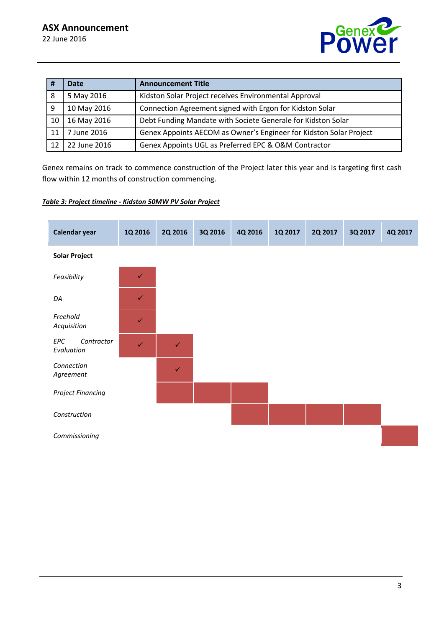

| #  | <b>Date</b>  | <b>Announcement Title</b>                                          |
|----|--------------|--------------------------------------------------------------------|
| 8  | 5 May 2016   | Kidston Solar Project receives Environmental Approval              |
| 9  | 10 May 2016  | Connection Agreement signed with Ergon for Kidston Solar           |
| 10 | 16 May 2016  | Debt Funding Mandate with Societe Generale for Kidston Solar       |
| 11 | 7 June 2016  | Genex Appoints AECOM as Owner's Engineer for Kidston Solar Project |
| 12 | 22 June 2016 | Genex Appoints UGL as Preferred EPC & O&M Contractor               |

Genex remains on track to commence construction of the Project later this year and is targeting first cash flow within 12 months of construction commencing.

### *Table 3: Project timeline - Kidston 50MW PV Solar Project*

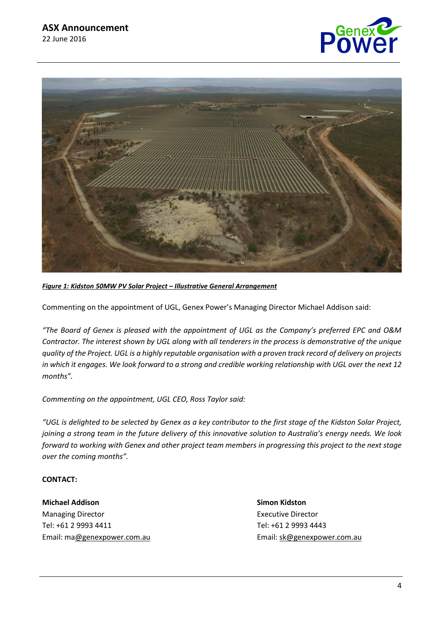



# *Figure 1: Kidston 50MW PV Solar Project – Illustrative General Arrangement*

Commenting on the appointment of UGL, Genex Power's Managing Director Michael Addison said:

*"The Board of Genex is pleased with the appointment of UGL as the Company's preferred EPC and O&M Contractor. The interest shown by UGL along with all tenderers in the process is demonstrative of the unique quality of the Project. UGL is a highly reputable organisation with a proven track record of delivery on projects in which it engages. We look forward to a strong and credible working relationship with UGL over the next 12 months".*

*Commenting on the appointment, UGL CEO, Ross Taylor said:*

*"UGL is delighted to be selected by Genex as a key contributor to the first stage of the Kidston Solar Project, joining a strong team in the future delivery of this innovative solution to Australia's energy needs. We look forward to working with Genex and other project team members in progressing this project to the next stage over the coming months".*

# **CONTACT:**

**Michael Addison Simon Kidston** Managing Director **Executive Director** Executive Director Tel: +61 2 9993 4411 Tel: +61 2 9993 4443 Email: m[a@genexpower.com.au](mailto:sk@genexpower.com.au) Email[: sk@genexpower.com.au](mailto:sk@genexpower.com.au)